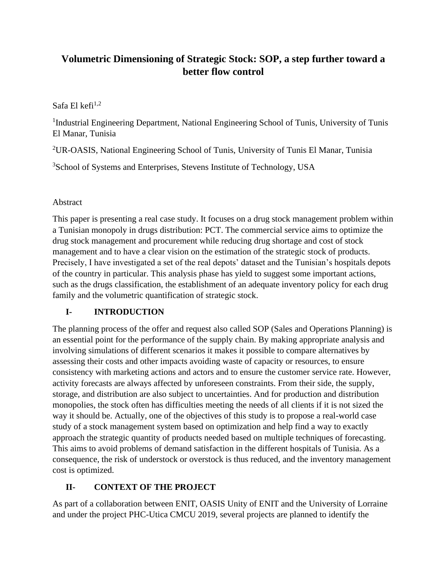# **Volumetric Dimensioning of Strategic Stock: SOP, a step further toward a better flow control**

### Safa El kefi $1,2$

<sup>1</sup>Industrial Engineering Department, National Engineering School of Tunis, University of Tunis El Manar, Tunisia

<sup>2</sup>UR-OASIS, National Engineering School of Tunis, University of Tunis El Manar, Tunisia

<sup>3</sup>School of Systems and Enterprises, Stevens Institute of Technology, USA

### Abstract

This paper is presenting a real case study. It focuses on a drug stock management problem within a Tunisian monopoly in drugs distribution: PCT. The commercial service aims to optimize the drug stock management and procurement while reducing drug shortage and cost of stock management and to have a clear vision on the estimation of the strategic stock of products. Precisely, I have investigated a set of the real depots' dataset and the Tunisian's hospitals depots of the country in particular. This analysis phase has yield to suggest some important actions, such as the drugs classification, the establishment of an adequate inventory policy for each drug family and the volumetric quantification of strategic stock.

### **I- INTRODUCTION**

The planning process of the offer and request also called SOP (Sales and Operations Planning) is an essential point for the performance of the supply chain. By making appropriate analysis and involving simulations of different scenarios it makes it possible to compare alternatives by assessing their costs and other impacts avoiding waste of capacity or resources, to ensure consistency with marketing actions and actors and to ensure the customer service rate. However, activity forecasts are always affected by unforeseen constraints. From their side, the supply, storage, and distribution are also subject to uncertainties. And for production and distribution monopolies, the stock often has difficulties meeting the needs of all clients if it is not sized the way it should be. Actually, one of the objectives of this study is to propose a real-world case study of a stock management system based on optimization and help find a way to exactly approach the strategic quantity of products needed based on multiple techniques of forecasting. This aims to avoid problems of demand satisfaction in the different hospitals of Tunisia. As a consequence, the risk of understock or overstock is thus reduced, and the inventory management cost is optimized.

# **II- CONTEXT OF THE PROJECT**

As part of a collaboration between ENIT, OASIS Unity of ENIT and the University of Lorraine and under the project PHC-Utica CMCU 2019, several projects are planned to identify the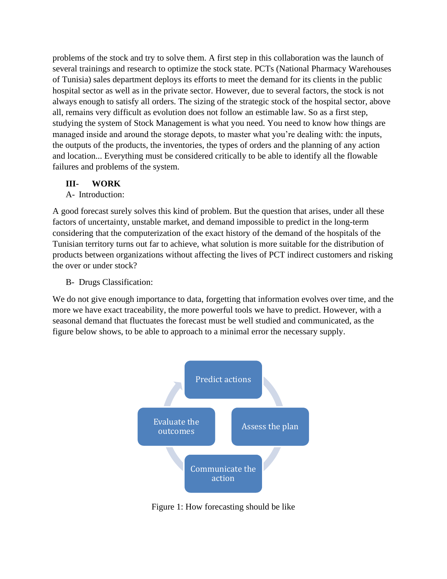problems of the stock and try to solve them. A first step in this collaboration was the launch of several trainings and research to optimize the stock state. PCTs (National Pharmacy Warehouses of Tunisia) sales department deploys its efforts to meet the demand for its clients in the public hospital sector as well as in the private sector. However, due to several factors, the stock is not always enough to satisfy all orders. The sizing of the strategic stock of the hospital sector, above all, remains very difficult as evolution does not follow an estimable law. So as a first step, studying the system of Stock Management is what you need. You need to know how things are managed inside and around the storage depots, to master what you're dealing with: the inputs, the outputs of the products, the inventories, the types of orders and the planning of any action and location... Everything must be considered critically to be able to identify all the flowable failures and problems of the system.

### **III- WORK**

#### A- Introduction:

A good forecast surely solves this kind of problem. But the question that arises, under all these factors of uncertainty, unstable market, and demand impossible to predict in the long-term considering that the computerization of the exact history of the demand of the hospitals of the Tunisian territory turns out far to achieve, what solution is more suitable for the distribution of products between organizations without affecting the lives of PCT indirect customers and risking the over or under stock?

B- Drugs Classification:

We do not give enough importance to data, forgetting that information evolves over time, and the more we have exact traceability, the more powerful tools we have to predict. However, with a seasonal demand that fluctuates the forecast must be well studied and communicated, as the figure below shows, to be able to approach to a minimal error the necessary supply.



Figure 1: How forecasting should be like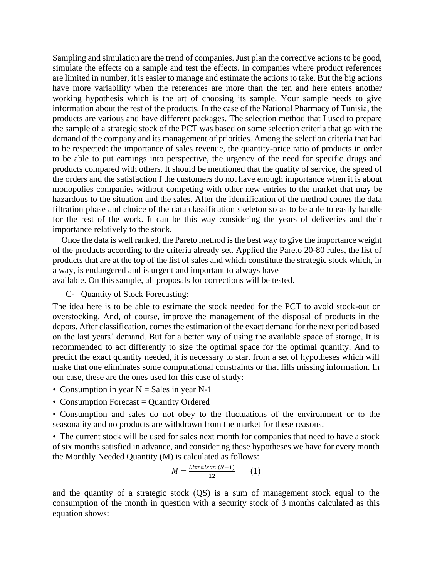Sampling and simulation are the trend of companies. Just plan the corrective actions to be good, simulate the effects on a sample and test the effects. In companies where product references are limited in number, it is easier to manage and estimate the actions to take. But the big actions have more variability when the references are more than the ten and here enters another working hypothesis which is the art of choosing its sample. Your sample needs to give information about the rest of the products. In the case of the National Pharmacy of Tunisia, the products are various and have different packages. The selection method that I used to prepare the sample of a strategic stock of the PCT was based on some selection criteria that go with the demand of the company and its management of priorities. Among the selection criteria that had to be respected: the importance of sales revenue, the quantity-price ratio of products in order to be able to put earnings into perspective, the urgency of the need for specific drugs and products compared with others. It should be mentioned that the quality of service, the speed of the orders and the satisfaction f the customers do not have enough importance when it is about monopolies companies without competing with other new entries to the market that may be hazardous to the situation and the sales. After the identification of the method comes the data filtration phase and choice of the data classification skeleton so as to be able to easily handle for the rest of the work. It can be this way considering the years of deliveries and their importance relatively to the stock.

Once the data is well ranked, the Pareto method is the best way to give the importance weight of the products according to the criteria already set. Applied the Pareto 20-80 rules, the list of products that are at the top of the list of sales and which constitute the strategic stock which, in a way, is endangered and is urgent and important to always have available. On this sample, all proposals for corrections will be tested.

C- Quantity of Stock Forecasting:

The idea here is to be able to estimate the stock needed for the PCT to avoid stock-out or overstocking. And, of course, improve the management of the disposal of products in the depots. After classification, comes the estimation of the exact demand for the next period based on the last years' demand. But for a better way of using the available space of storage, It is recommended to act differently to size the optimal space for the optimal quantity. And to predict the exact quantity needed, it is necessary to start from a set of hypotheses which will make that one eliminates some computational constraints or that fills missing information. In our case, these are the ones used for this case of study:

- Consumption in year N = Sales in year N-1
- Consumption Forecast = Quantity Ordered

*•* Consumption and sales do not obey to the fluctuations of the environment or to the seasonality and no products are withdrawn from the market for these reasons.

*•* The current stock will be used for sales next month for companies that need to have a stock of six months satisfied in advance, and considering these hypotheses we have for every month the Monthly Needed Quantity (M) is calculated as follows:

$$
M = \frac{Livraison (N-1)}{12} \qquad (1)
$$

and the quantity of a strategic stock (QS) is a sum of management stock equal to the consumption of the month in question with a security stock of 3 months calculated as this equation shows: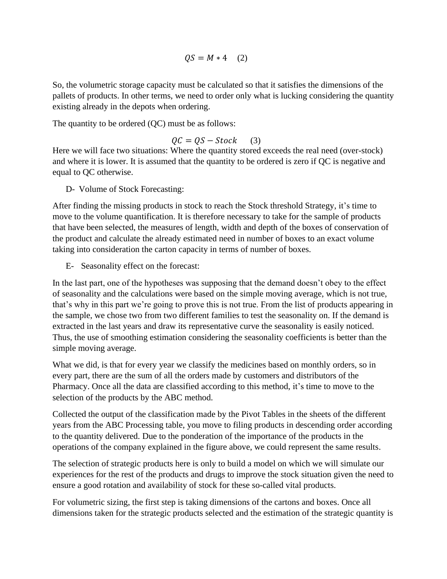$QS = M * 4$  (2)

So, the volumetric storage capacity must be calculated so that it satisfies the dimensions of the pallets of products. In other terms, we need to order only what is lucking considering the quantity existing already in the depots when ordering.

The quantity to be ordered (QC) must be as follows:

$$
QC = QS - Stock \qquad (3)
$$

Here we will face two situations: Where the quantity stored exceeds the real need (over-stock) and where it is lower. It is assumed that the quantity to be ordered is zero if QC is negative and equal to QC otherwise.

D- Volume of Stock Forecasting:

After finding the missing products in stock to reach the Stock threshold Strategy, it's time to move to the volume quantification. It is therefore necessary to take for the sample of products that have been selected, the measures of length, width and depth of the boxes of conservation of the product and calculate the already estimated need in number of boxes to an exact volume taking into consideration the carton capacity in terms of number of boxes.

E- Seasonality effect on the forecast:

In the last part, one of the hypotheses was supposing that the demand doesn't obey to the effect of seasonality and the calculations were based on the simple moving average, which is not true, that's why in this part we're going to prove this is not true. From the list of products appearing in the sample, we chose two from two different families to test the seasonality on. If the demand is extracted in the last years and draw its representative curve the seasonality is easily noticed. Thus, the use of smoothing estimation considering the seasonality coefficients is better than the simple moving average.

What we did, is that for every year we classify the medicines based on monthly orders, so in every part, there are the sum of all the orders made by customers and distributors of the Pharmacy. Once all the data are classified according to this method, it's time to move to the selection of the products by the ABC method.

Collected the output of the classification made by the Pivot Tables in the sheets of the different years from the ABC Processing table, you move to filing products in descending order according to the quantity delivered. Due to the ponderation of the importance of the products in the operations of the company explained in the figure above, we could represent the same results.

The selection of strategic products here is only to build a model on which we will simulate our experiences for the rest of the products and drugs to improve the stock situation given the need to ensure a good rotation and availability of stock for these so-called vital products.

For volumetric sizing, the first step is taking dimensions of the cartons and boxes. Once all dimensions taken for the strategic products selected and the estimation of the strategic quantity is